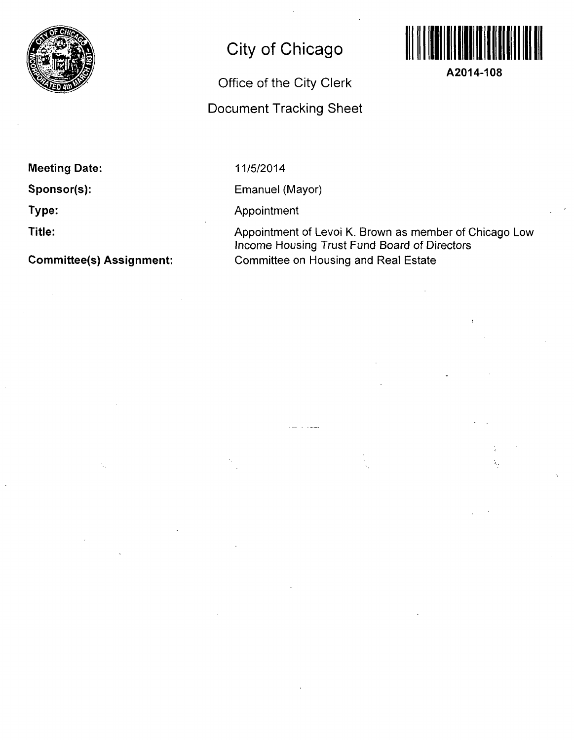

# **City of Chicago**

# **Office of the City Clerk**

## **Document Tracking Sheet**



**A2014-108** 

**Meeting Date:** 

**Sponsor(s):** 

**Type:** 

**Title:** 

**Committee(s) Assignment:** 

11/5/2014

Emanuel (Mayor)

Appointment

Appointment of Levol K. Brown as member of Chicago Low Income Housing Trust Fund Board of Directors Committee on Housing and Real Estate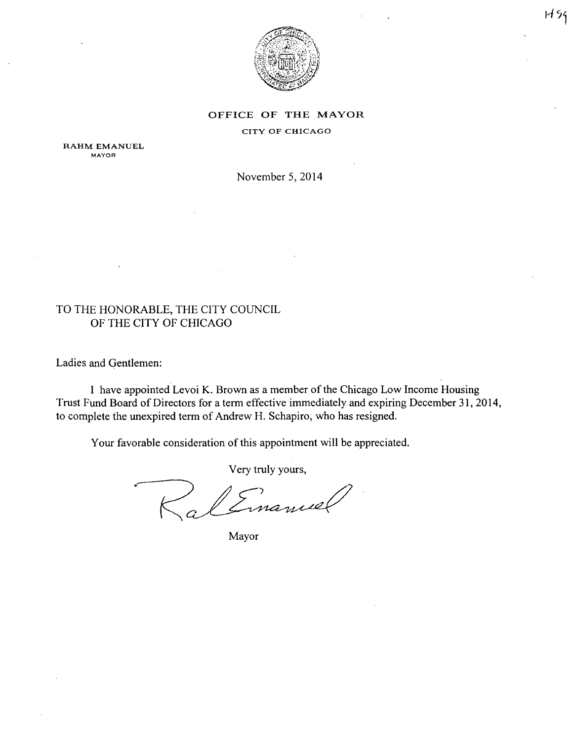

## OFFICE OF THE MAYOR

#### CITY OF CHICAGO

RAHM EMANUEL MAYOR

November 5, 2014

### TO THE HONORABLE, THE CITY COUNCIL OF THE CITY OF CHICAGO

Ladies and Gentlemen:

I have appointed Levoi K. Brown as a member of the Chicago Low Income Housing Trust Fund Board of Directors for a term effective immediately and expiring December 31, 2014, to complete the unexpired term of Andrew H. Schapiro, who has resigned.

Your favorable consideration of this appointment will be appreciated.

Very truly yours,

Emanuel

Mayor